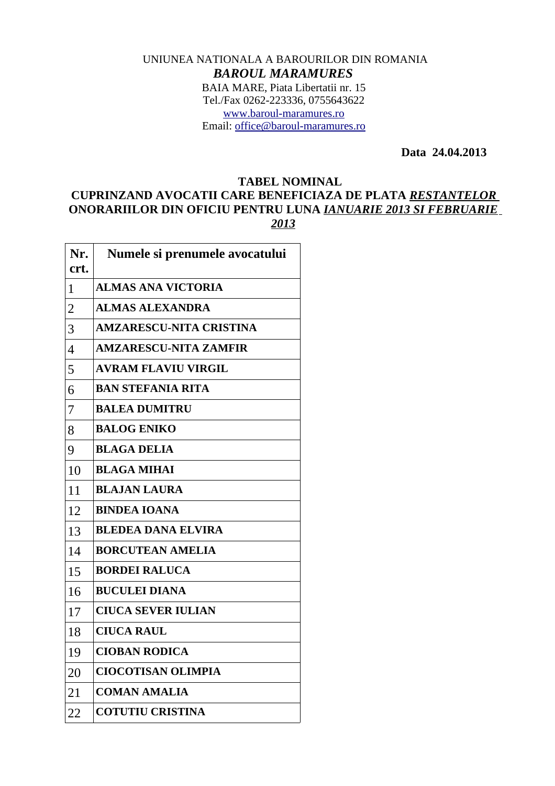## UNIUNEA NATIONALA A BAROURILOR DIN ROMANIA *BAROUL MARAMURES* BAIA MARE, Piata Libertatii nr. 15 Tel./Fax 0262-223336, 0755643622 [www.baroul-maramures.ro](http://www.baroul-maramures.ro/) Email: [office@baroul-maramures.ro](mailto:office@baroul-maramures.ro)

 **Data 24.04.2013**

## **TABEL NOMINAL**

## **CUPRINZAND AVOCATII CARE BENEFICIAZA DE PLATA** *RESTANTELOR* **ONORARIILOR DIN OFICIU PENTRU LUNA** *IANUARIE 2013 SI FEBRUARIE*

| Nr.<br>crt.    | Numele si prenumele avocatului |
|----------------|--------------------------------|
| $\mathbf{1}$   | <b>ALMAS ANA VICTORIA</b>      |
| $\overline{2}$ | <b>ALMAS ALEXANDRA</b>         |
| 3              | <b>AMZARESCU-NITA CRISTINA</b> |
| $\overline{4}$ | <b>AMZARESCU-NITA ZAMFIR</b>   |
| 5              | <b>AVRAM FLAVIU VIRGIL</b>     |
| 6              | <b>BAN STEFANIA RITA</b>       |
| 7              | <b>BALEA DUMITRU</b>           |
| 8              | <b>BALOG ENIKO</b>             |
| 9              | <b>BLAGA DELIA</b>             |
| 10             | <b>BLAGA MIHAI</b>             |
| 11             | <b>BLAJAN LAURA</b>            |
| 12             | <b>BINDEA IOANA</b>            |
| 13             | <b>BLEDEA DANA ELVIRA</b>      |
| 14             | <b>BORCUTEAN AMELIA</b>        |
| 15             | <b>BORDEI RALUCA</b>           |
| 16             | <b>BUCULEI DIANA</b>           |
| 17             | <b>CIUCA SEVER IULIAN</b>      |
| 18             | <b>CIUCA RAUL</b>              |
| 19             | <b>CIOBAN RODICA</b>           |
| 20             | <b>CIOCOTISAN OLIMPIA</b>      |
| 21             | <b>COMAN AMALIA</b>            |
| 22             | <b>COTUTIU CRISTINA</b>        |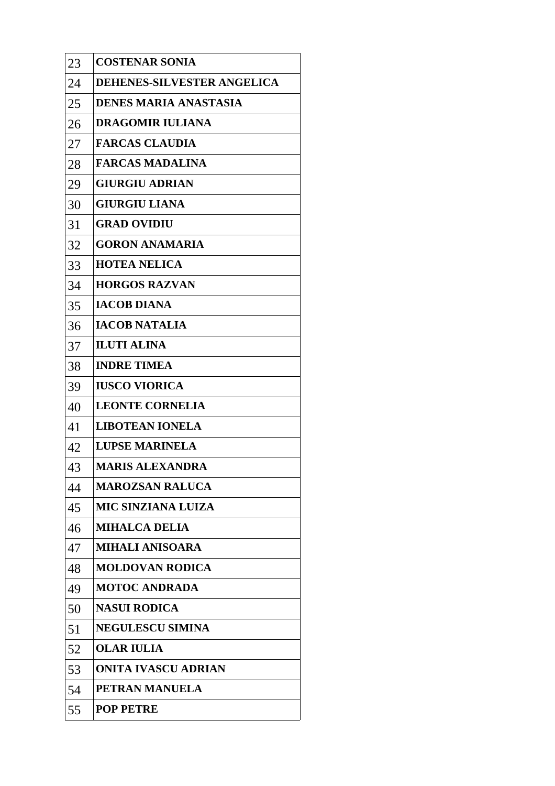| 23 | <b>COSTENAR SONIA</b>        |
|----|------------------------------|
| 24 | DEHENES-SILVESTER ANGELICA   |
| 25 | <b>DENES MARIA ANASTASIA</b> |
| 26 | <b>DRAGOMIR IULIANA</b>      |
| 27 | <b>FARCAS CLAUDIA</b>        |
| 28 | <b>FARCAS MADALINA</b>       |
| 29 | <b>GIURGIU ADRIAN</b>        |
| 30 | <b>GIURGIU LIANA</b>         |
| 31 | <b>GRAD OVIDIU</b>           |
| 32 | <b>GORON ANAMARIA</b>        |
| 33 | <b>HOTEA NELICA</b>          |
| 34 | <b>HORGOS RAZVAN</b>         |
| 35 | <b>IACOB DIANA</b>           |
| 36 | <b>IACOB NATALIA</b>         |
| 37 | <b>ILUTI ALINA</b>           |
| 38 | <b>INDRE TIMEA</b>           |
| 39 | <b>IUSCO VIORICA</b>         |
| 40 | <b>LEONTE CORNELIA</b>       |
| 41 | <b>LIBOTEAN IONELA</b>       |
| 42 | <b>LUPSE MARINELA</b>        |
| 43 | <b>MARIS ALEXANDRA</b>       |
| 44 | <b>MAROZSAN RALUCA</b>       |
| 45 | <b>MIC SINZIANA LUIZA</b>    |
| 46 | <b>MIHALCA DELIA</b>         |
| 47 | <b>MIHALI ANISOARA</b>       |
| 48 | <b>MOLDOVAN RODICA</b>       |
| 49 | <b>MOTOC ANDRADA</b>         |
| 50 | <b>NASUI RODICA</b>          |
| 51 | <b>NEGULESCU SIMINA</b>      |
| 52 | <b>OLAR IULIA</b>            |
| 53 | <b>ONITA IVASCU ADRIAN</b>   |
| 54 | PETRAN MANUELA               |
| 55 | <b>POP PETRE</b>             |